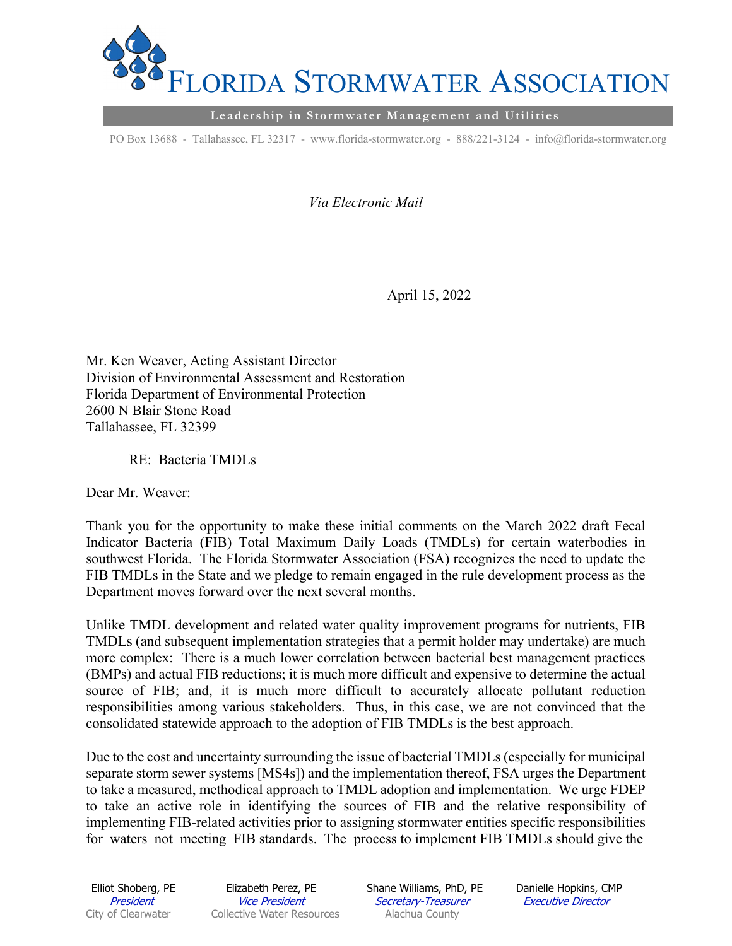

**Leadership in Stormwater Management and Utilities** 

PO Box 13688 - Tallahassee, FL 32317 - www.florida-stormwater.org - 888/221-3124 - info@florida-stormwater.org

*Via Electronic Mail* 

April 15, 2022

Mr. Ken Weaver, Acting Assistant Director Division of Environmental Assessment and Restoration Florida Department of Environmental Protection 2600 N Blair Stone Road Tallahassee, FL 32399

RE: Bacteria TMDLs

Dear Mr. Weaver:

Thank you for the opportunity to make these initial comments on the March 2022 draft Fecal Indicator Bacteria (FIB) Total Maximum Daily Loads (TMDLs) for certain waterbodies in southwest Florida. The Florida Stormwater Association (FSA) recognizes the need to update the FIB TMDLs in the State and we pledge to remain engaged in the rule development process as the Department moves forward over the next several months.

Unlike TMDL development and related water quality improvement programs for nutrients, FIB TMDLs (and subsequent implementation strategies that a permit holder may undertake) are much more complex: There is a much lower correlation between bacterial best management practices (BMPs) and actual FIB reductions; it is much more difficult and expensive to determine the actual source of FIB; and, it is much more difficult to accurately allocate pollutant reduction responsibilities among various stakeholders. Thus, in this case, we are not convinced that the consolidated statewide approach to the adoption of FIB TMDLs is the best approach.

Due to the cost and uncertainty surrounding the issue of bacterial TMDLs (especially for municipal separate storm sewer systems [MS4s]) and the implementation thereof, FSA urges the Department to take a measured, methodical approach to TMDL adoption and implementation. We urge FDEP to take an active role in identifying the sources of FIB and the relative responsibility of implementing FIB-related activities prior to assigning stormwater entities specific responsibilities for waters not meeting FIB standards. The process to implement FIB TMDLs should give the

President Vice President Secretary-Treasurer Executive Director City of Clearwater Collective Water Resources Alachua County

Elliot Shoberg, PE Elizabeth Perez, PE Shane Williams, PhD, PE Danielle Hopkins, CMP